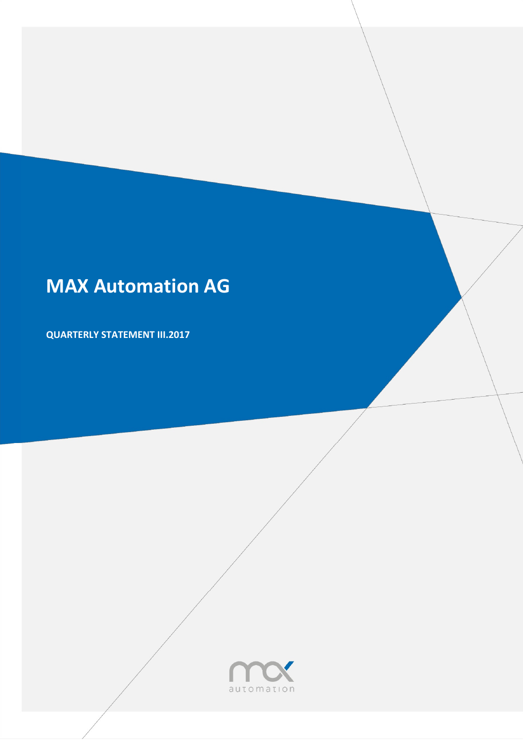# **MAX Automation AG**

**QUARTERLY STATEMENT III.2017**

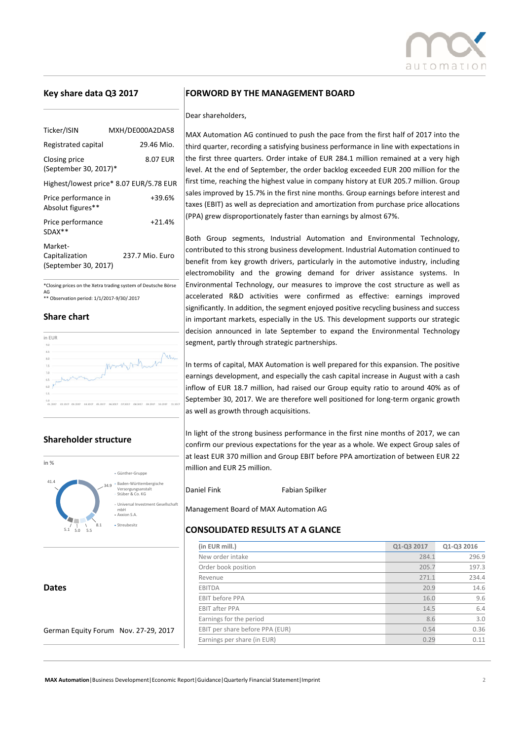

## **Key share data Q3 2017**

| Ticker/ISIN                                       | MXH/DE000A2DA58                         |
|---------------------------------------------------|-----------------------------------------|
| Registrated capital                               | 29.46 Mio.                              |
| Closing price<br>(September 30, 2017)*            | 8.07 EUR                                |
|                                                   | Highest/lowest price* 8.07 EUR/5.78 EUR |
| Price performance in<br>Absolut figures**         | +39.6%                                  |
| Price performance<br>$SDAX**$                     | $+21.4%$                                |
| Market-<br>Capitalization<br>(September 30, 2017) | 237.7 Mio. Euro                         |

\*Closing prices on the Xetra trading system of Deutsche Börse AG \*\* Observation period: 1/1/2017-9/30/.2017

#### **Share chart**



# **Shareholder structure**



**Dates** 

German Equity Forum Nov. 27-29, 2017

## **FORWORD BY THE MANAGEMENT BOARD**

Dear shareholders,

MAX Automation AG continued to push the pace from the first half of 2017 into the third quarter, recording a satisfying business performance in line with expectations in the first three quarters. Order intake of EUR 284.1 million remained at a very high level. At the end of September, the order backlog exceeded EUR 200 million for the first time, reaching the highest value in company history at EUR 205.7 million. Group sales improved by 15.7% in the first nine months. Group earnings before interest and taxes (EBIT) as well as depreciation and amortization from purchase price allocations (PPA) grew disproportionately faster than earnings by almost 67%.

Both Group segments, Industrial Automation and Environmental Technology, contributed to this strong business development. Industrial Automation continued to benefit from key growth drivers, particularly in the automotive industry, including electromobility and the growing demand for driver assistance systems. In Environmental Technology, our measures to improve the cost structure as well as accelerated R&D activities were confirmed as effective: earnings improved significantly. In addition, the segment enjoyed positive recycling business and success in important markets, especially in the US. This development supports our strategic decision announced in late September to expand the Environmental Technology segment, partly through strategic partnerships.

In terms of capital, MAX Automation is well prepared for this expansion. The positive earnings development, and especially the cash capital increase in August with a cash inflow of EUR 18.7 million, had raised our Group equity ratio to around 40% as of September 30, 2017. We are therefore well positioned for long-term organic growth as well as growth through acquisitions.

In light of the strong business performance in the first nine months of 2017, we can confirm our previous expectations for the year as a whole. We expect Group sales of at least EUR 370 million and Group EBIT before PPA amortization of between EUR 22 million and EUR 25 million.

Daniel Fink Fabian Spilker

Management Board of MAX Automation AG

#### **CONSOLIDATED RESULTS AT A GLANCE**

| (in EUR mill.)                  | Q1-Q3 2017 | Q1-Q3 2016 |
|---------------------------------|------------|------------|
| New order intake                | 284.1      | 296.9      |
| Order book position             | 205.7      | 197.3      |
| Revenue                         | 271.1      | 234.4      |
| <b>EBITDA</b>                   | 20.9       | 14.6       |
| <b>EBIT before PPA</b>          | 16.0       | 9.6        |
| <b>EBIT after PPA</b>           | 14.5       | 6.4        |
| Earnings for the period         | 8.6        | 3.0        |
| EBIT per share before PPA (EUR) | 0.54       | 0.36       |
| Earnings per share (in EUR)     | 0.29       | 0.11       |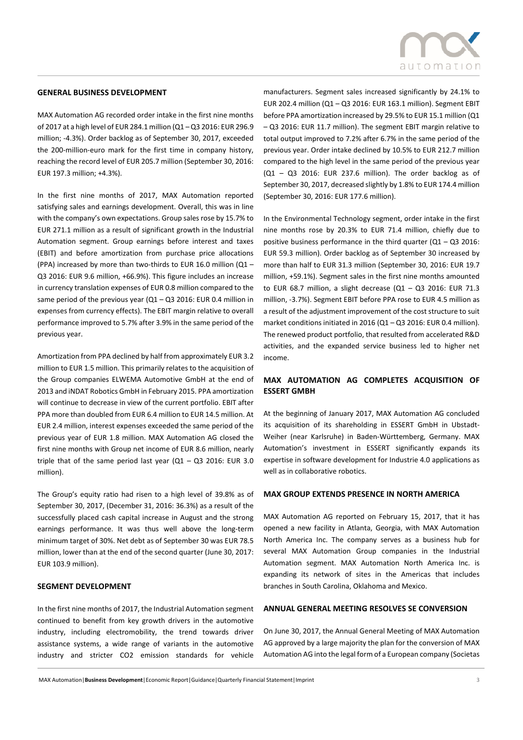

## **GENERAL BUSINESS DEVELOPMENT**

MAX Automation AG recorded order intake in the first nine months of 2017 at a high level of EUR 284.1 million (Q1 – Q3 2016: EUR 296.9 million; -4.3%). Order backlog as of September 30, 2017, exceeded the 200-million-euro mark for the first time in company history, reaching the record level of EUR 205.7 million (September 30, 2016: EUR 197.3 million; +4.3%).

In the first nine months of 2017, MAX Automation reported satisfying sales and earnings development. Overall, this was in line with the company's own expectations. Group sales rose by 15.7% to EUR 271.1 million as a result of significant growth in the Industrial Automation segment. Group earnings before interest and taxes (EBIT) and before amortization from purchase price allocations (PPA) increased by more than two-thirds to EUR 16.0 million (Q1 – Q3 2016: EUR 9.6 million, +66.9%). This figure includes an increase in currency translation expenses of EUR 0.8 million compared to the same period of the previous year  $(Q1 - Q3 2016$ : EUR 0.4 million in expenses from currency effects). The EBIT margin relative to overall performance improved to 5.7% after 3.9% in the same period of the previous year.

Amortization from PPA declined by half from approximately EUR 3.2 million to EUR 1.5 million. This primarily relates to the acquisition of the Group companies ELWEMA Automotive GmbH at the end of 2013 and iNDAT Robotics GmbH in February 2015. PPA amortization will continue to decrease in view of the current portfolio. EBIT after PPA more than doubled from EUR 6.4 million to EUR 14.5 million. At EUR 2.4 million, interest expenses exceeded the same period of the previous year of EUR 1.8 million. MAX Automation AG closed the first nine months with Group net income of EUR 8.6 million, nearly triple that of the same period last year  $(Q1 - Q3 2016$ : EUR 3.0 million).

The Group's equity ratio had risen to a high level of 39.8% as of September 30, 2017, (December 31, 2016: 36.3%) as a result of the successfully placed cash capital increase in August and the strong earnings performance. It was thus well above the long-term minimum target of 30%. Net debt as of September 30 was EUR 78.5 million, lower than at the end of the second quarter (June 30, 2017: EUR 103.9 million).

#### **SEGMENT DEVELOPMENT**

In the first nine months of 2017, the Industrial Automation segment continued to benefit from key growth drivers in the automotive industry, including electromobility, the trend towards driver assistance systems, a wide range of variants in the automotive industry and stricter CO2 emission standards for vehicle

manufacturers. Segment sales increased significantly by 24.1% to EUR 202.4 million (Q1 – Q3 2016: EUR 163.1 million). Segment EBIT before PPA amortization increased by 29.5% to EUR 15.1 million (Q1 – Q3 2016: EUR 11.7 million). The segment EBIT margin relative to total output improved to 7.2% after 6.7% in the same period of the previous year. Order intake declined by 10.5% to EUR 212.7 million compared to the high level in the same period of the previous year (Q1 – Q3 2016: EUR 237.6 million). The order backlog as of September 30, 2017, decreased slightly by 1.8% to EUR 174.4 million (September 30, 2016: EUR 177.6 million).

In the Environmental Technology segment, order intake in the first nine months rose by 20.3% to EUR 71.4 million, chiefly due to positive business performance in the third quarter  $(Q1 - Q3 2016$ : EUR 59.3 million). Order backlog as of September 30 increased by more than half to EUR 31.3 million (September 30, 2016: EUR 19.7 million, +59.1%). Segment sales in the first nine months amounted to EUR 68.7 million, a slight decrease (Q1 – Q3 2016: EUR 71.3 million, -3.7%). Segment EBIT before PPA rose to EUR 4.5 million as a result of the adjustment improvement of the cost structure to suit market conditions initiated in 2016 (Q1 – Q3 2016: EUR 0.4 million). The renewed product portfolio, that resulted from accelerated R&D activities, and the expanded service business led to higher net income.

# **MAX AUTOMATION AG COMPLETES ACQUISITION OF ESSERT GMBH**

At the beginning of January 2017, MAX Automation AG concluded its acquisition of its shareholding in ESSERT GmbH in Ubstadt-Weiher (near Karlsruhe) in Baden-Württemberg, Germany. MAX Automation's investment in ESSERT significantly expands its expertise in software development for Industrie 4.0 applications as well as in collaborative robotics.

## **MAX GROUP EXTENDS PRESENCE IN NORTH AMERICA**

MAX Automation AG reported on February 15, 2017, that it has opened a new facility in Atlanta, Georgia, with MAX Automation North America Inc. The company serves as a business hub for several MAX Automation Group companies in the Industrial Automation segment. MAX Automation North America Inc. is expanding its network of sites in the Americas that includes branches in South Carolina, Oklahoma and Mexico.

## **ANNUAL GENERAL MEETING RESOLVES SE CONVERSION**

On June 30, 2017, the Annual General Meeting of MAX Automation AG approved by a large majority the plan for the conversion of MAX Automation AG into the legal form of a European company (Societas

MAX Automation|**Business Development**|Economic Report|Guidance|Quarterly Financial Statement|Imprint 3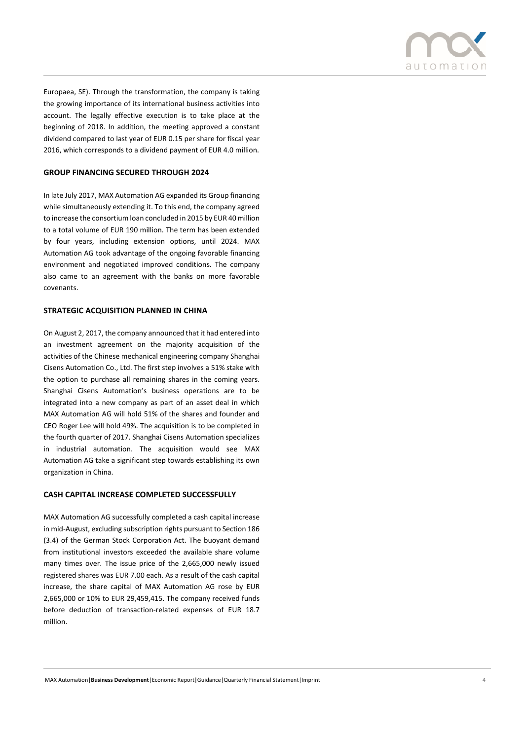

Europaea, SE). Through the transformation, the company is taking the growing importance of its international business activities into account. The legally effective execution is to take place at the beginning of 2018. In addition, the meeting approved a constant dividend compared to last year of EUR 0.15 per share for fiscal year 2016, which corresponds to a dividend payment of EUR 4.0 million.

#### **GROUP FINANCING SECURED THROUGH 2024**

In late July 2017, MAX Automation AG expanded its Group financing while simultaneously extending it. To this end, the company agreed to increase the consortium loan concluded in 2015 by EUR 40 million to a total volume of EUR 190 million. The term has been extended by four years, including extension options, until 2024. MAX Automation AG took advantage of the ongoing favorable financing environment and negotiated improved conditions. The company also came to an agreement with the banks on more favorable covenants.

#### **STRATEGIC ACQUISITION PLANNED IN CHINA**

On August 2, 2017, the company announced that it had entered into an investment agreement on the majority acquisition of the activities of the Chinese mechanical engineering company Shanghai Cisens Automation Co., Ltd. The first step involves a 51% stake with the option to purchase all remaining shares in the coming years. Shanghai Cisens Automation's business operations are to be integrated into a new company as part of an asset deal in which MAX Automation AG will hold 51% of the shares and founder and CEO Roger Lee will hold 49%. The acquisition is to be completed in the fourth quarter of 2017. Shanghai Cisens Automation specializes in industrial automation. The acquisition would see MAX Automation AG take a significant step towards establishing its own organization in China.

# **CASH CAPITAL INCREASE COMPLETED SUCCESSFULLY**

MAX Automation AG successfully completed a cash capital increase in mid-August, excluding subscription rights pursuant to Section 186 (3.4) of the German Stock Corporation Act. The buoyant demand from institutional investors exceeded the available share volume many times over. The issue price of the 2,665,000 newly issued registered shares was EUR 7.00 each. As a result of the cash capital increase, the share capital of MAX Automation AG rose by EUR 2,665,000 or 10% to EUR 29,459,415. The company received funds before deduction of transaction-related expenses of EUR 18.7 million.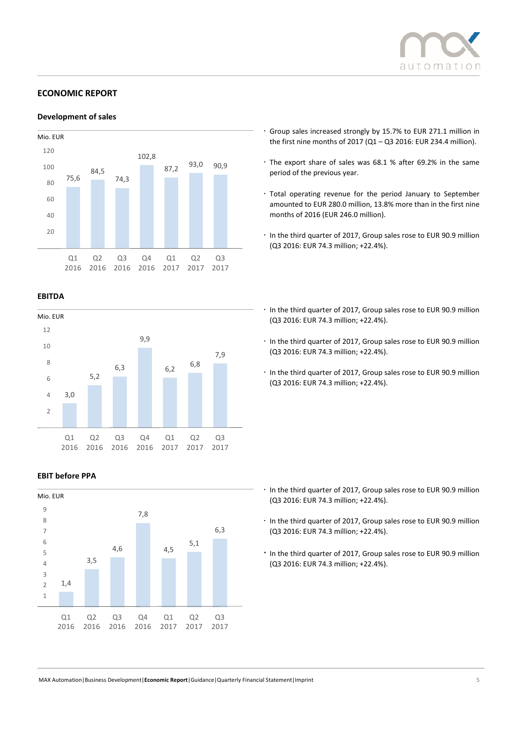

# **ECONOMIC REPORT**



#### **EBITDA**



# **EBIT before PPA**



- Group sales increased strongly by 15.7% to EUR 271.1 million in the first nine months of 2017 (Q1 – Q3 2016: EUR 234.4 million).
- The export share of sales was 68.1 % after 69.2% in the same period of the previous year.
- Total operating revenue for the period January to September amounted to EUR 280.0 million, 13.8% more than in the first nine months of 2016 (EUR 246.0 million).
- $\cdot$  In the third quarter of 2017, Group sales rose to EUR 90.9 million (Q3 2016: EUR 74.3 million; +22.4%).
- $\cdot$  In the third quarter of 2017, Group sales rose to EUR 90.9 million (Q3 2016: EUR 74.3 million; +22.4%).
- $\cdot$  In the third quarter of 2017, Group sales rose to EUR 90.9 million (Q3 2016: EUR 74.3 million; +22.4%).
- $\cdot$  In the third quarter of 2017, Group sales rose to EUR 90.9 million (Q3 2016: EUR 74.3 million; +22.4%).

- In the third quarter of 2017, Group sales rose to EUR 90.9 million (Q3 2016: EUR 74.3 million; +22.4%).
- $\cdot$  In the third quarter of 2017, Group sales rose to EUR 90.9 million (Q3 2016: EUR 74.3 million; +22.4%).
- \* In the third quarter of 2017, Group sales rose to EUR 90.9 million (Q3 2016: EUR 74.3 million; +22.4%).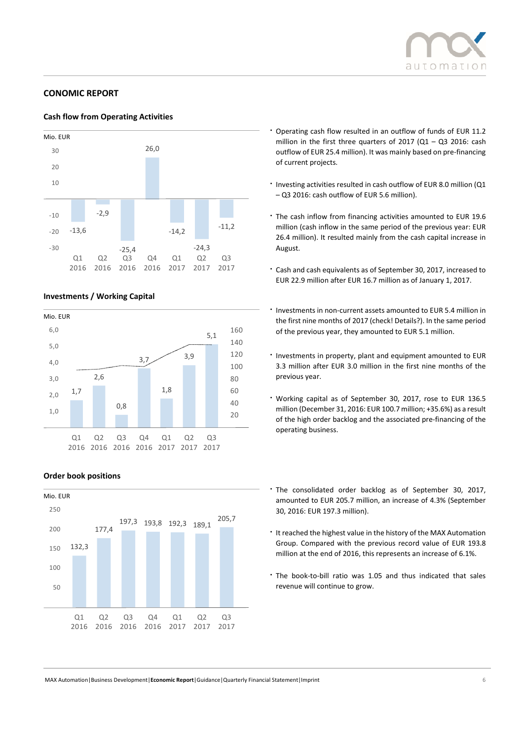

# **CONOMIC REPORT**



## **Investments / Working Capital**



#### **Order book positions**



- Operating cash flow resulted in an outflow of funds of EUR 11.2 million in the first three quarters of  $2017$  (Q1 – Q3 2016: cash outflow of EUR 25.4 million). It was mainly based on pre-financing of current projects.
- $\cdot$  Investing activities resulted in cash outflow of EUR 8.0 million (Q1 – Q3 2016: cash outflow of EUR 5.6 million).
- The cash inflow from financing activities amounted to EUR 19.6 million (cash inflow in the same period of the previous year: EUR 26.4 million). It resulted mainly from the cash capital increase in August.
- Cash and cash equivalents as of September 30, 2017, increased to EUR 22.9 million after EUR 16.7 million as of January 1, 2017.
- $\cdot$  Investments in non-current assets amounted to EUR 5.4 million in the first nine months of 2017 (check! Details?). In the same period of the previous year, they amounted to EUR 5.1 million.
- $\cdot$  Investments in property, plant and equipment amounted to EUR 3.3 million after EUR 3.0 million in the first nine months of the previous year.
- Working capital as of September 30, 2017, rose to EUR 136.5 million (December 31, 2016: EUR 100.7 million; +35.6%) as a result of the high order backlog and the associated pre-financing of the operating business.
- The consolidated order backlog as of September 30, 2017, amounted to EUR 205.7 million, an increase of 4.3% (September 30, 2016: EUR 197.3 million).
- **It reached the highest value in the history of the MAX Automation** Group. Compared with the previous record value of EUR 193.8 million at the end of 2016, this represents an increase of 6.1%.
- The book-to-bill ratio was 1.05 and thus indicated that sales revenue will continue to grow.

MAX Automation|Business Development|**Economic Report**|Guidance|Quarterly Financial Statement|Imprint 6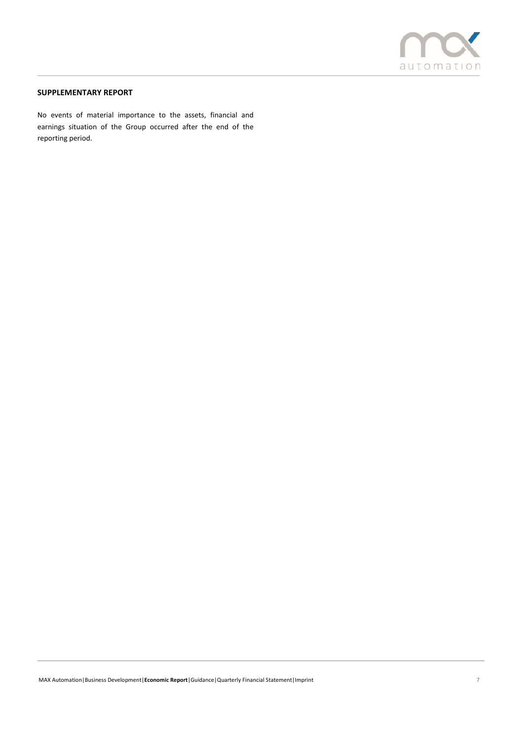

# **SUPPLEMENTARY REPORT**

No events of material importance to the assets, financial and earnings situation of the Group occurred after the end of the reporting period.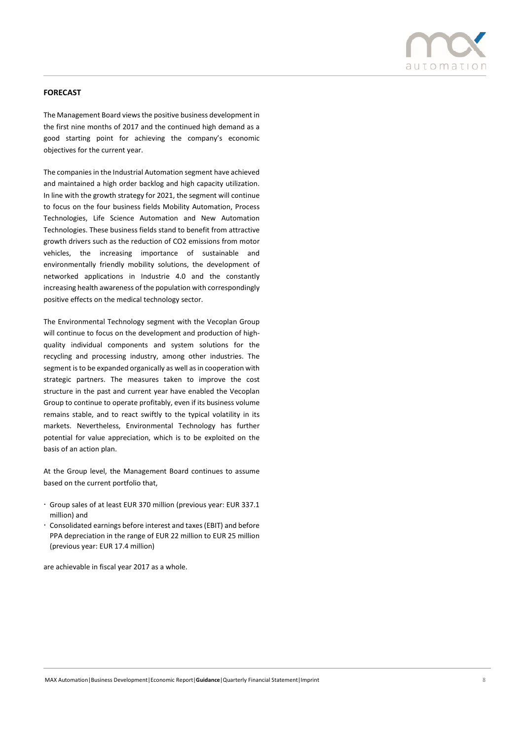

## **FORECAST**

The Management Board views the positive business development in the first nine months of 2017 and the continued high demand as a good starting point for achieving the company's economic objectives for the current year.

The companies in the Industrial Automation segment have achieved and maintained a high order backlog and high capacity utilization. In line with the growth strategy for 2021, the segment will continue to focus on the four business fields Mobility Automation, Process Technologies, Life Science Automation and New Automation Technologies. These business fields stand to benefit from attractive growth drivers such as the reduction of CO2 emissions from motor vehicles, the increasing importance of sustainable and environmentally friendly mobility solutions, the development of networked applications in Industrie 4.0 and the constantly increasing health awareness of the population with correspondingly positive effects on the medical technology sector.

The Environmental Technology segment with the Vecoplan Group will continue to focus on the development and production of highquality individual components and system solutions for the recycling and processing industry, among other industries. The segment is to be expanded organically as well as in cooperation with strategic partners. The measures taken to improve the cost structure in the past and current year have enabled the Vecoplan Group to continue to operate profitably, even if its business volume remains stable, and to react swiftly to the typical volatility in its markets. Nevertheless, Environmental Technology has further potential for value appreciation, which is to be exploited on the basis of an action plan.

At the Group level, the Management Board continues to assume based on the current portfolio that,

- Group sales of at least EUR 370 million (previous year: EUR 337.1 million) and
- Consolidated earnings before interest and taxes (EBIT) and before PPA depreciation in the range of EUR 22 million to EUR 25 million (previous year: EUR 17.4 million)

are achievable in fiscal year 2017 as a whole.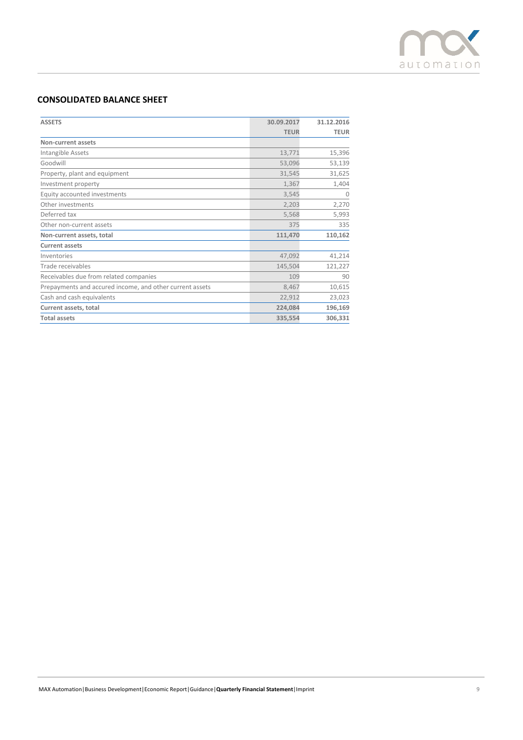

# **CONSOLIDATED BALANCE SHEET**

| <b>ASSETS</b>                                            | 30.09.2017  | 31.12.2016  |
|----------------------------------------------------------|-------------|-------------|
|                                                          | <b>TEUR</b> | <b>TEUR</b> |
| <b>Non-current assets</b>                                |             |             |
| Intangible Assets                                        | 13,771      | 15,396      |
| Goodwill                                                 | 53,096      | 53,139      |
| Property, plant and equipment                            | 31,545      | 31,625      |
| Investment property                                      | 1,367       | 1,404       |
| Equity accounted investments                             | 3,545       | 0           |
| Other investments                                        | 2,203       | 2,270       |
| Deferred tax                                             | 5,568       | 5,993       |
| Other non-current assets                                 | 375         | 335         |
| Non-current assets, total                                | 111,470     | 110,162     |
| <b>Current assets</b>                                    |             |             |
| Inventories                                              | 47,092      | 41,214      |
| Trade receivables                                        | 145,504     | 121,227     |
| Receivables due from related companies                   | 109         | 90          |
| Prepayments and accured income, and other current assets | 8,467       | 10,615      |
| Cash and cash equivalents                                | 22,912      | 23,023      |
| Current assets, total                                    | 224,084     | 196,169     |
| <b>Total assets</b>                                      | 335,554     | 306,331     |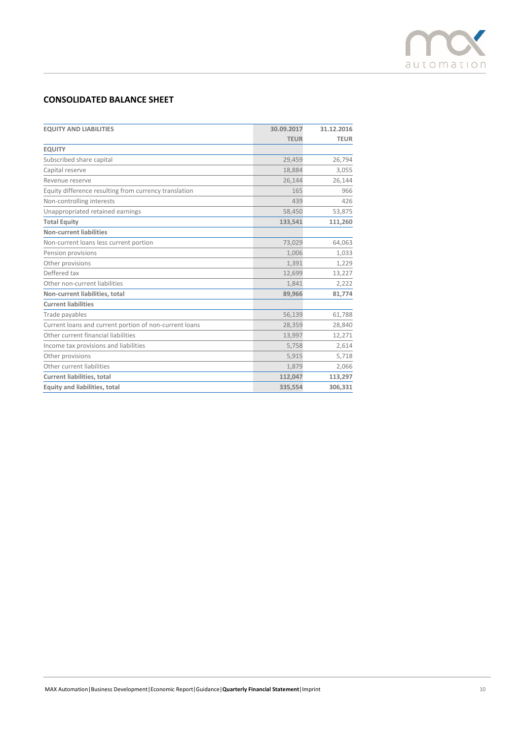

# **CONSOLIDATED BALANCE SHEET**

| <b>EQUITY AND LIABILITIES</b>                          | 30.09.2017  | 31.12.2016  |  |
|--------------------------------------------------------|-------------|-------------|--|
|                                                        | <b>TEUR</b> | <b>TEUR</b> |  |
| <b>EQUITY</b>                                          |             |             |  |
| Subscribed share capital                               | 29,459      | 26,794      |  |
| Capital reserve                                        | 18,884      | 3,055       |  |
| Revenue reserve                                        | 26,144      | 26,144      |  |
| Equity difference resulting from currency translation  | 165         | 966         |  |
| Non-controlling interests                              | 439         | 426         |  |
| Unappropriated retained earnings                       | 58,450      | 53,875      |  |
| <b>Total Equity</b>                                    | 133,541     | 111,260     |  |
| <b>Non-current liabilities</b>                         |             |             |  |
| Non-current loans less current portion                 | 73,029      | 64,063      |  |
| Pension provisions                                     | 1,006       | 1,033       |  |
| Other provisions                                       | 1.391       | 1,229       |  |
| Deffered tax                                           | 12,699      | 13,227      |  |
| Other non-current liabilities                          | 1,841       | 2,222       |  |
| Non-current liabilities, total                         | 89,966      | 81,774      |  |
| <b>Current liabilities</b>                             |             |             |  |
| Trade payables                                         | 56,139      | 61,788      |  |
| Current loans and current portion of non-current loans | 28,359      | 28,840      |  |
| Other current financial liabilities                    | 13,997      | 12,271      |  |
| Income tax provisions and liabilities                  | 5,758       | 2,614       |  |
| Other provisions                                       | 5,915       | 5,718       |  |
| Other current liabilities                              | 1,879       | 2,066       |  |
| Current liabilities, total                             | 112,047     | 113,297     |  |
| Equity and liabilities, total                          | 335,554     | 306,331     |  |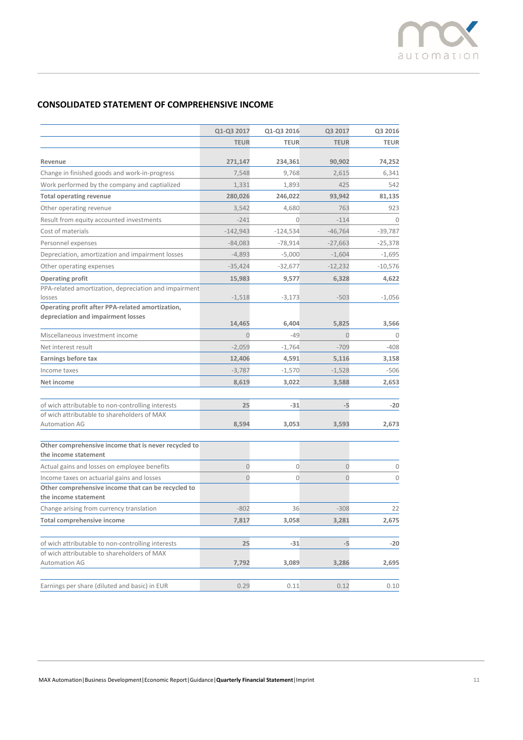

# **CONSOLIDATED STATEMENT OF COMPREHENSIVE INCOME**

|                                                                                                                          | Q1-Q3 2017     | Q1-Q3 2016  | Q3 2017        | Q3 2016      |
|--------------------------------------------------------------------------------------------------------------------------|----------------|-------------|----------------|--------------|
|                                                                                                                          | <b>TEUR</b>    | <b>TEUR</b> | <b>TEUR</b>    | <b>TEUR</b>  |
| Revenue                                                                                                                  | 271,147        | 234,361     | 90,902         | 74,252       |
| Change in finished goods and work-in-progress                                                                            | 7,548          | 9,768       | 2,615          | 6,341        |
| Work performed by the company and captialized                                                                            | 1,331          | 1,893       | 425            | 542          |
| <b>Total operating revenue</b>                                                                                           | 280,026        | 246,022     | 93,942         | 81,135       |
| Other operating revenue                                                                                                  | 3,542          | 4,680       | 763            | 923          |
| Result from equity accounted investments                                                                                 | $-241$         | 0           | $-114$         | $\Omega$     |
| Cost of materials                                                                                                        | $-142,943$     | $-124,534$  | $-46,764$      | $-39,787$    |
| Personnel expenses                                                                                                       | $-84,083$      | $-78,914$   | $-27,663$      | $-25,378$    |
| Depreciation, amortization and impairment losses                                                                         | $-4,893$       | $-5,000$    | $-1,604$       | $-1,695$     |
| Other operating expenses                                                                                                 | $-35,424$      | $-32,677$   | $-12,232$      | $-10,576$    |
| Operating profit                                                                                                         | 15,983         | 9,577       | 6,328          | 4,622        |
| PPA-related amortization, depreciation and impairment<br>losses                                                          | $-1,518$       | $-3,173$    | $-503$         | $-1,056$     |
| Operating profit after PPA-related amortization,<br>depreciation and impairment losses                                   | 14,465         | 6,404       | 5,825          | 3,566        |
| Miscellaneous investment income                                                                                          | $\overline{0}$ | $-49$       | $\overline{0}$ | $\mathbf{0}$ |
| Net interest result                                                                                                      | $-2,059$       | $-1,764$    | $-709$         | $-408$       |
| Earnings before tax                                                                                                      | 12,406         | 4,591       | 5,116          | 3,158        |
| Income taxes                                                                                                             | $-3,787$       | $-1,570$    | $-1,528$       | $-506$       |
| Net income                                                                                                               | 8,619          | 3,022       | 3,588          | 2,653        |
| of wich attributable to non-controlling interests                                                                        | 25             | $-31$       | $-5$           | $-20$        |
| of wich attributable to shareholders of MAX<br><b>Automation AG</b>                                                      | 8,594          | 3,053       | 3,593          | 2,673        |
| Other comprehensive income that is never recycled to<br>the income statement                                             |                |             |                |              |
| Actual gains and losses on employee benefits                                                                             | $\mathbf{0}$   | 0           | $\mathbf{0}$   | 0            |
| Income taxes on actuarial gains and losses<br>Other comprehensive income that can be recycled to<br>the income statement | $\overline{0}$ | 0           | $\overline{0}$ | $\mathbf{0}$ |
|                                                                                                                          | $-802$         | 36          | $-308$         | 22           |
| Change arising from currency translation                                                                                 |                |             |                |              |
| Total comprehensive income                                                                                               | 7,817          | 3,058       | 3,281          | 2,675        |
| of wich attributable to non-controlling interests                                                                        | 25             | $-31$       | $-5$           | $-20$        |
| of wich attributable to shareholders of MAX<br><b>Automation AG</b>                                                      | 7,792          | 3,089       | 3,286          | 2,695        |
| Earnings per share (diluted and basic) in EUR                                                                            | 0.29           | 0.11        | 0.12           | 0.10         |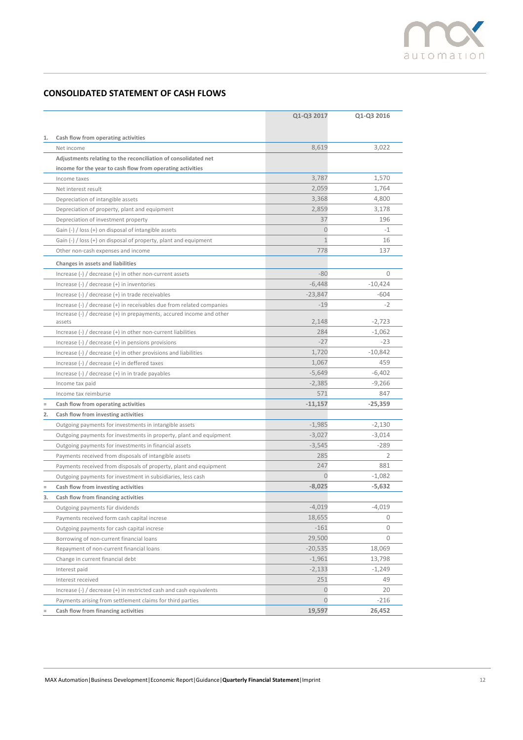

# **CONSOLIDATED STATEMENT OF CASH FLOWS**

|    |                                                                                                                    | Q1-Q3 2017     | Q1-Q3 2016 |
|----|--------------------------------------------------------------------------------------------------------------------|----------------|------------|
|    |                                                                                                                    |                |            |
| 1. | Cash flow from operating activities                                                                                |                |            |
|    | Net income                                                                                                         | 8,619          | 3,022      |
|    | Adjustments relating to the reconciliation of consolidated net                                                     |                |            |
|    | income for the year to cash flow from operating activities                                                         | 3,787          | 1,570      |
|    | Income taxes                                                                                                       | 2,059          | 1,764      |
|    | Net interest result                                                                                                | 3,368          | 4,800      |
|    | Depreciation of intangible assets                                                                                  |                |            |
|    | Depreciation of property, plant and equipment                                                                      | 2,859          | 3,178      |
|    | Depreciation of investment property                                                                                | 37             | 196        |
|    | Gain (-) / loss (+) on disposal of intangible assets                                                               | $\overline{0}$ | $-1$       |
|    | Gain $\left(\frac{1}{2}\right)$ / loss $\left(\frac{1}{2}\right)$ on disposal of property, plant and equipment     | $\mathbf{1}$   | 16         |
|    | Other non-cash expenses and income                                                                                 | 778            | 137        |
|    | Changes in assets and liabilities                                                                                  |                |            |
|    | Increase $(-)$ / decrease $(+)$ in other non-current assets                                                        | $-80$          | $\Omega$   |
|    | Increase $(-)$ / decrease $(+)$ in inventories                                                                     | $-6,448$       | $-10,424$  |
|    | Increase (-) / decrease (+) in trade receivables                                                                   | $-23,847$      | $-604$     |
|    | Increase (-) / decrease (+) in receivables due from related companies                                              | $-19$          | $-2$       |
|    | Increase $\left(\frac{1}{2}\right)$ / decrease $\left(\frac{1}{2}\right)$ in prepayments, accured income and other |                |            |
|    | assets                                                                                                             | 2,148          | $-2,723$   |
|    | Increase $(-)$ / decrease $(+)$ in other non-current liabilities                                                   | 284            | $-1,062$   |
|    | Increase $(-)$ / decrease $(+)$ in pensions provisions                                                             | $-27$          | $-23$      |
|    | Increase $\left(\frac{1}{2}\right)$ decrease $\left(\frac{1}{2}\right)$ in other provisions and liabilities        | 1,720          | $-10,842$  |
|    | Increase (-) / decrease (+) in deffered taxes                                                                      | 1,067          | 459        |
|    | Increase $(-)$ / decrease $(+)$ in in trade payables                                                               | $-5,649$       | $-6,402$   |
|    | Income tax paid                                                                                                    | $-2,385$       | $-9,266$   |
|    | Income tax reimburse                                                                                               | 571            | 847        |
|    | Cash flow from operating activities                                                                                | $-11,157$      | $-25,359$  |
| 2. | Cash flow from investing activities                                                                                |                |            |
|    | Outgoing payments for investments in intangible assets                                                             | $-1,985$       | $-2,130$   |
|    | Outgoing payments for investments in property, plant and equipment                                                 | $-3,027$       | $-3,014$   |
|    | Outgoing payments for investments in financial assets                                                              | $-3,545$       | $-289$     |
|    | Payments received from disposals of intangible assets                                                              | 285            | 2          |
|    | Payments received from disposals of property, plant and equipment                                                  | 247            | 881        |
|    | Outgoing payments for investment in subsidiaries, less cash                                                        | $\Omega$       | $-1,082$   |
|    | Cash flow from investing activities                                                                                | $-8,025$       | $-5,632$   |
| 3. | Cash flow from financing activities                                                                                |                |            |
|    | Outgoing payments für dividends                                                                                    | $-4,019$       | $-4,019$   |
|    | Payments received form cash capital increse                                                                        | 18,655         | $\Omega$   |
|    | Outgoing payments for cash capital increse                                                                         | $-161$         | 0          |
|    | Borrowing of non-current financial loans                                                                           | 29,500         | 0          |
|    | Repayment of non-current financial loans                                                                           | $-20,535$      | 18,069     |
|    | Change in current financial debt                                                                                   | $-1,961$       | 13,798     |
|    | Interest paid                                                                                                      | $-2,133$       | $-1,249$   |
|    | Interest received                                                                                                  | 251            | 49         |
|    | Increase (-) / decrease (+) in restricted cash and cash equivalents                                                | $\theta$       | 20         |
|    | Payments arising from settlement claims for third parties                                                          | $\Omega$       | $-216$     |
|    | Cash flow from financing activities                                                                                | 19,597         | 26,452     |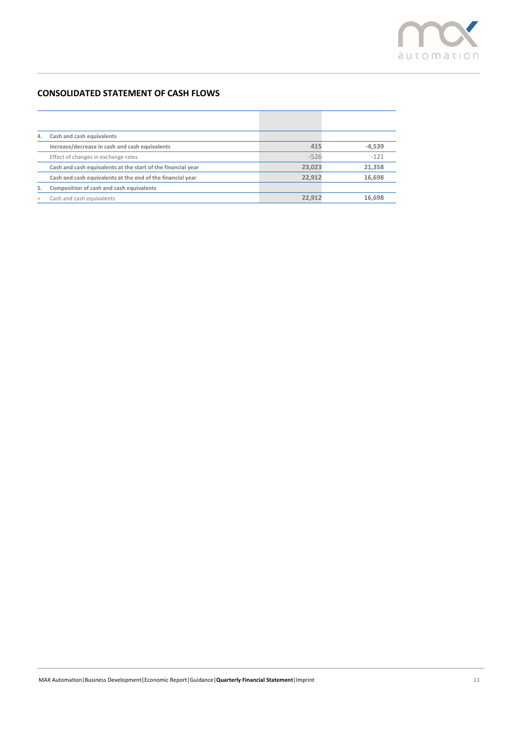

# **CONSOLIDATED STATEMENT OF CASH FLOWS**

| 4.  | Cash and cash equivalents                                    |        |          |
|-----|--------------------------------------------------------------|--------|----------|
|     | Increase/decrease in cash and cash equivalents               | 415    | $-4.539$ |
|     | Effect of changes in exchange rates                          | $-526$ | $-121$   |
|     | Cash and cash equivalents at the start of the financial year | 23.023 | 21,358   |
|     | Cash and cash equivalents at the end of the financial year   | 22.912 | 16.698   |
| 5.  | Composition of cash and cash equivalents                     |        |          |
| $=$ | Cash and cash equivalents                                    | 22.912 | 16.698   |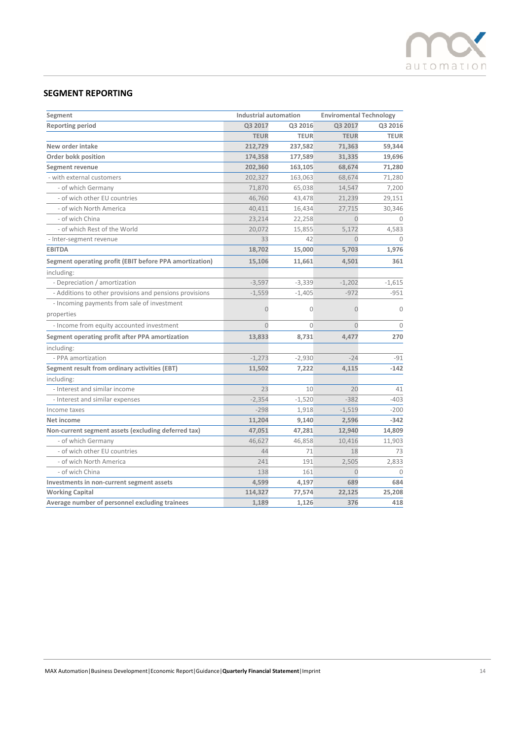

# **SEGMENT REPORTING**

| Segment                                                 | Industrial automation |                | <b>Enviromental Technology</b> |                |
|---------------------------------------------------------|-----------------------|----------------|--------------------------------|----------------|
| Reporting period                                        | Q3 2017               | Q3 2016        | Q3 2017                        | Q3 2016        |
|                                                         | <b>TEUR</b>           | <b>TEUR</b>    | <b>TEUR</b>                    | <b>TEUR</b>    |
| New order intake                                        | 212,729               | 237,582        | 71,363                         | 59,344         |
| Order bokk position                                     | 174,358               | 177,589        | 31,335                         | 19,696         |
| <b>Segment revenue</b>                                  | 202,360               | 163,105        | 68,674                         | 71,280         |
| - with external customers                               | 202,327               | 163,063        | 68,674                         | 71,280         |
| - of which Germany                                      | 71,870                | 65,038         | 14,547                         | 7,200          |
| - of wich other EU countries                            | 46,760                | 43,478         | 21,239                         | 29,151         |
| - of wich North America                                 | 40,411                | 16,434         | 27,715                         | 30,346         |
| - of wich China                                         | 23,214                | 22,258         | $\overline{0}$                 | $\Omega$       |
| - of which Rest of the World                            | 20,072                | 15,855         | 5,172                          | 4,583          |
| - Inter-segment revenue                                 | 33                    | 42             | $\overline{0}$                 | $\Omega$       |
| <b>EBITDA</b>                                           | 18,702                | 15,000         | 5,703                          | 1,976          |
| Segment operating profit (EBIT before PPA amortization) | 15,106                | 11,661         | 4,501                          | 361            |
| including:                                              |                       |                |                                |                |
| - Depreciation / amortization                           | $-3,597$              | $-3,339$       | $-1,202$                       | $-1,615$       |
| - Additions to other provisions and pensions provisions | $-1,559$              | $-1,405$       | $-972$                         | $-951$         |
| - Incoming payments from sale of investment             |                       |                |                                |                |
| properties                                              | $\overline{0}$        | $\overline{0}$ | $\overline{0}$                 | $\overline{0}$ |
| - Income from equity accounted investment               | $\Omega$              | $\Omega$       | $\Omega$                       | $\Omega$       |
| Segment operating profit after PPA amortization         | 13,833                | 8,731          | 4,477                          | 270            |
| including:                                              |                       |                |                                |                |
| - PPA amortization                                      | $-1,273$              | $-2,930$       | $-24$                          | $-91$          |
| Segment result from ordinary activities (EBT)           | 11,502                | 7,222          | 4,115                          | $-142$         |
| including:                                              |                       |                |                                |                |
| - Interest and similar income                           | 23                    | 10             | 20                             | 41             |
| - Interest and similar expenses                         | $-2,354$              | $-1,520$       | $-382$                         | $-403$         |
| Income taxes                                            | $-298$                | 1,918          | $-1,519$                       | $-200$         |
| Net income                                              | 11,204                | 9,140          | 2,596                          | $-342$         |
| Non-current segment assets (excluding deferred tax)     | 47,051                | 47,281         | 12,940                         | 14,809         |
| - of which Germany                                      | 46,627                | 46,858         | 10,416                         | 11,903         |
| - of wich other EU countries                            | 44                    | 71             | 18                             | 73             |
| - of wich North America                                 | 241                   | 191            | 2,505                          | 2,833          |
| - of wich China                                         | 138                   | 161            | $\overline{0}$                 | $\Omega$       |
| Investments in non-current segment assets               | 4,599                 | 4,197          | 689                            | 684            |
| <b>Working Capital</b>                                  | 114,327               | 77,574         | 22,125                         | 25,208         |
| Average number of personnel excluding trainees          | 1,189                 | 1,126          | 376                            | 418            |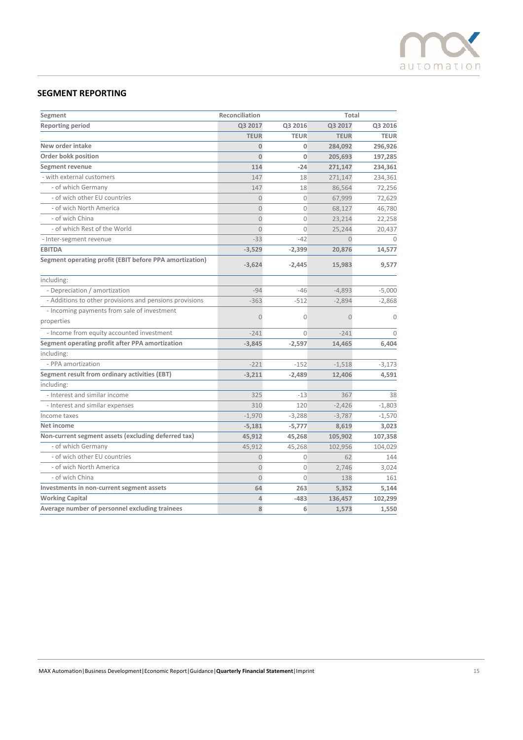

# **SEGMENT REPORTING**

| Segment                                                 | Reconciliation |                | Total          |             |
|---------------------------------------------------------|----------------|----------------|----------------|-------------|
| Reporting period                                        | Q3 2017        | Q3 2016        | Q3 2017        | Q3 2016     |
|                                                         | <b>TEUR</b>    | <b>TEUR</b>    | <b>TEUR</b>    | <b>TEUR</b> |
| New order intake                                        | $\mathbf{0}$   | 0              | 284,092        | 296,926     |
| Order bokk position                                     | $\overline{0}$ | $\overline{0}$ | 205,693        | 197,285     |
| <b>Segment revenue</b>                                  | 114            | $-24$          | 271,147        | 234,361     |
| - with external customers                               | 147            | 18             | 271,147        | 234,361     |
| - of which Germany                                      | 147            | 18             | 86,564         | 72,256      |
| - of wich other EU countries                            | $\Omega$       | $\overline{0}$ | 67,999         | 72,629      |
| - of wich North America                                 | $\overline{0}$ | 0              | 68,127         | 46,780      |
| - of wich China                                         | $\overline{0}$ | $\overline{0}$ | 23,214         | 22,258      |
| - of which Rest of the World                            | $\Omega$       | $\overline{0}$ | 25,244         | 20,437      |
| - Inter-segment revenue                                 | $-33$          | $-42$          | $\Omega$       | $\cap$      |
| <b>EBITDA</b>                                           | $-3,529$       | $-2,399$       | 20,876         | 14,577      |
| Segment operating profit (EBIT before PPA amortization) | $-3,624$       | $-2,445$       | 15,983         | 9,577       |
| including:                                              |                |                |                |             |
| - Depreciation / amortization                           | $-94$          | $-46$          | $-4,893$       | $-5,000$    |
| - Additions to other provisions and pensions provisions | $-363$         | $-512$         | $-2,894$       | $-2,868$    |
| - Incoming payments from sale of investment             |                |                |                |             |
| properties                                              | $\theta$       | $\mathbf 0$    | $\overline{0}$ | $\Omega$    |
| - Income from equity accounted investment               | $-241$         | $\Omega$       | $-241$         | $\Omega$    |
| Segment operating profit after PPA amortization         | $-3,845$       | $-2,597$       | 14,465         | 6,404       |
| including:                                              |                |                |                |             |
| - PPA amortization                                      | $-221$         | $-152$         | $-1,518$       | $-3,173$    |
| Segment result from ordinary activities (EBT)           | $-3,211$       | $-2,489$       | 12,406         | 4,591       |
| including:                                              |                |                |                |             |
| - Interest and similar income                           | 325            | $-13$          | 367            | 38          |
| - Interest and similar expenses                         | 310            | 120            | $-2,426$       | $-1,803$    |
| Income taxes                                            | $-1,970$       | $-3,288$       | $-3,787$       | $-1,570$    |
| Net income                                              | $-5,181$       | $-5,777$       | 8,619          | 3,023       |
| Non-current segment assets (excluding deferred tax)     | 45,912         | 45,268         | 105,902        | 107,358     |
| - of which Germany                                      | 45,912         | 45,268         | 102,956        | 104,029     |
| - of wich other EU countries                            | $\overline{0}$ | 0              | 62             | 144         |
| - of wich North America                                 | $\overline{0}$ | 0              | 2,746          | 3,024       |
| - of wich China                                         | $\overline{0}$ | 0              | 138            | 161         |
| Investments in non-current segment assets               | 64             | 263            | 5,352          | 5,144       |
| <b>Working Capital</b>                                  | $\Delta$       | $-483$         | 136,457        | 102,299     |
| Average number of personnel excluding trainees          | 8              | 6              | 1,573          | 1,550       |